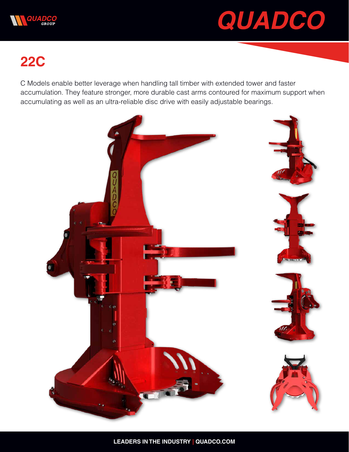



## **22C**

C Models enable better leverage when handling tall timber with extended tower and faster accumulation. They feature stronger, more durable cast arms contoured for maximum support when accumulating as well as an ultra-reliable disc drive with easily adjustable bearings.